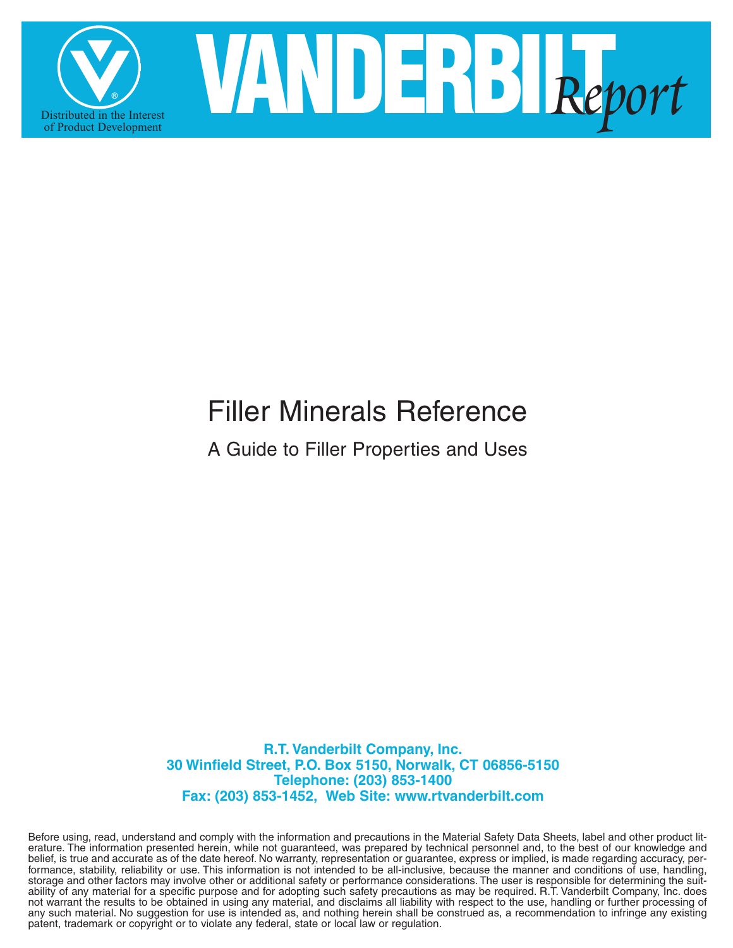

# Filler Minerals Reference

A Guide to Filler Properties and Uses

**R.T. Vanderbilt Company, Inc. 30 Winfield Street, P.O. Box 5150, Norwalk, CT 06856-5150 Telephone: (203) 853-1400 Fax: (203) 853-1452, Web Site: www.rtvanderbilt.com**

Before using, read, understand and comply with the information and precautions in the Material Safety Data Sheets, label and other product literature. The information presented herein, while not guaranteed, was prepared by technical personnel and, to the best of our knowledge and belief, is true and accurate as of the date hereof. No warranty, representation or guarantee, express or implied, is made regarding accuracy, performance, stability, reliability or use. This information is not intended to be all-inclusive, because the manner and conditions of use, handling, storage and other factors may involve other or additional safety or performance considerations. The user is responsible for determining the suitability of any material for a specific purpose and for adopting such safety precautions as may be required. R.T. Vanderbilt Company, Inc. does not warrant the results to be obtained in using any material, and disclaims all liability with respect to the use, handling or further processing of any such material. No suggestion for use is intended as, and nothing herein shall be construed as, a recommendation to infringe any existing patent, trademark or copyright or to violate any federal, state or local law or regulation.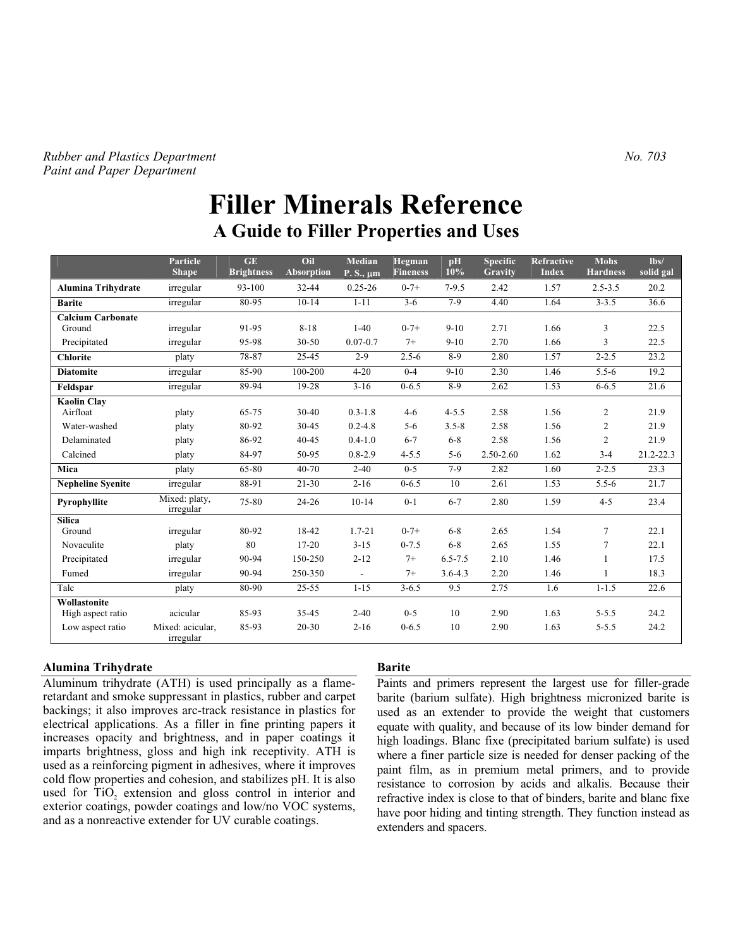#### *Rubber and Plastics Department*  $N_0$ . 703 *Paint and Paper Department*

# **Filler Minerals Reference A Guide to Filler Properties and Uses**

|                                    | Particle<br><b>Shape</b>      | GE<br><b>Brightness</b> | Oil<br><b>Absorption</b> | Median<br>$P.S., \mu m$  | Hegman<br><b>Fineness</b> | pH<br>10%   | <b>Specific</b><br>Gravity | Refractive<br><b>Index</b> | <b>Mohs</b><br><b>Hardness</b> | lbs/<br>solid gal |
|------------------------------------|-------------------------------|-------------------------|--------------------------|--------------------------|---------------------------|-------------|----------------------------|----------------------------|--------------------------------|-------------------|
| <b>Alumina Trihydrate</b>          | irregular                     | 93-100                  | 32-44                    | $0.25 - 26$              | $0 - 7 +$                 | $7-9.5$     | 2.42                       | 1.57                       | $2.5 - 3.5$                    | 20.2              |
| <b>Barite</b>                      | irregular                     | 80-95                   | $10-14$                  | $1 - 11$                 | $3 - 6$                   | $7-9$       | 4.40                       | 1.64                       | $3 - 3.5$                      | 36.6              |
| <b>Calcium Carbonate</b><br>Ground | irregular                     | 91-95                   | $8 - 18$                 | $1-40$                   | $0 - 7 +$                 | $9 - 10$    | 2.71                       | 1.66                       | 3                              | 22.5              |
| Precipitated                       | irregular                     | 95-98                   | $30 - 50$                | $0.07 - 0.7$             | $7+$                      | $9 - 10$    | 2.70                       | 1.66                       | 3                              | 22.5              |
| <b>Chlorite</b>                    | platy                         | 78-87                   | 25-45                    | $2 - 9$                  | $2.5 - 6$                 | $8-9$       | 2.80                       | 1.57                       | $2 - 2.5$                      | 23.2              |
| <b>Diatomite</b>                   | irregular                     | 85-90                   | 100-200                  | $4 - 20$                 | $0 - 4$                   | $9 - 10$    | 2.30                       | 1.46                       | $5.5 - 6$                      | 19.2              |
| Feldspar                           | irregular                     | 89-94                   | 19-28                    | $3-16$                   | $0 - 6.5$                 | 8-9         | 2.62                       | 1.53                       | $6 - 6.5$                      | 21.6              |
| <b>Kaolin Clav</b><br>Airfloat     | platy                         | 65-75                   | $30 - 40$                | $0.3 - 1.8$              | $4 - 6$                   | $4 - 5.5$   | 2.58                       | 1.56                       | 2                              | 21.9              |
| Water-washed                       | platy                         | 80-92                   | 30-45                    | $0.2 - 4.8$              | $5 - 6$                   | $3.5 - 8$   | 2.58                       | 1.56                       | 2                              | 21.9              |
| Delaminated                        | platy                         | 86-92                   | $40 - 45$                | $0.4 - 1.0$              | $6 - 7$                   | $6 - 8$     | 2.58                       | 1.56                       | 2                              | 21.9              |
| Calcined                           | platy                         | 84-97                   | 50-95                    | $0.8 - 2.9$              | $4 - 5.5$                 | $5 - 6$     | $2.50 - 2.60$              | 1.62                       | $3 - 4$                        | $21.2 - 22.3$     |
| Mica                               | platy                         | 65-80                   | 40-70                    | $2 - 40$                 | $0 - 5$                   | $7-9$       | 2.82                       | 1.60                       | $2 - 2.5$                      | 23.3              |
| <b>Nepheline Svenite</b>           | irregular                     | 88-91                   | $21 - 30$                | $2 - 16$                 | $0 - 6.5$                 | 10          | 2.61                       | 1.53                       | $5.5 - 6$                      | 21.7              |
| Pyrophyllite                       | Mixed: platy,<br>irregular    | 75-80                   | $24 - 26$                | $10-14$                  | $0 - 1$                   | $6 - 7$     | 2.80                       | 1.59                       | $4 - 5$                        | 23.4              |
| <b>Silica</b><br>Ground            | irregular                     | 80-92                   | 18-42                    | $1.7 - 21$               | $0 - 7 +$                 | $6 - 8$     | 2.65                       | 1.54                       | 7                              | 22.1              |
| Novaculite                         | platy                         | 80                      | $17 - 20$                | $3 - 15$                 | $0 - 7.5$                 | $6 - 8$     | 2.65                       | 1.55                       | 7                              | 22.1              |
| Precipitated                       | irregular                     | 90-94                   | 150-250                  | $2 - 12$                 | $7+$                      | $6.5 - 7.5$ | 2.10                       | 1.46                       | 1                              | 17.5              |
| Fumed                              | irregular                     | 90-94                   | 250-350                  | $\overline{\phantom{a}}$ | $7+$                      | $3.6 - 4.3$ | 2.20                       | 1.46                       | 1                              | 18.3              |
| Talc                               | platy                         | 80-90                   | $25 - 55$                | $1 - 15$                 | $3 - 6.5$                 | 9.5         | 2.75                       | 1.6                        | $1 - 1.5$                      | 22.6              |
| Wollastonite<br>High aspect ratio  | acicular                      | 85-93                   | 35-45                    | $2 - 40$                 | $0 - 5$                   | 10          | 2.90                       | 1.63                       | $5 - 5.5$                      | 24.2              |
| Low aspect ratio                   | Mixed: acicular.<br>irregular | 85-93                   | $20 - 30$                | $2 - 16$                 | $0 - 6.5$                 | 10          | 2.90                       | 1.63                       | $5 - 5.5$                      | 24.2              |

#### **Alumina Trihydrate**

Aluminum trihydrate (ATH) is used principally as a flameretardant and smoke suppressant in plastics, rubber and carpet backings; it also improves arc-track resistance in plastics for electrical applications. As a filler in fine printing papers it increases opacity and brightness, and in paper coatings it imparts brightness, gloss and high ink receptivity. ATH is used as a reinforcing pigment in adhesives, where it improves cold flow properties and cohesion, and stabilizes pH. It is also used for TiO<sub>2</sub> extension and gloss control in interior and exterior coatings, powder coatings and low/no VOC systems, and as a nonreactive extender for UV curable coatings.

#### **Barite**

Paints and primers represent the largest use for filler-grade barite (barium sulfate). High brightness micronized barite is used as an extender to provide the weight that customers equate with quality, and because of its low binder demand for high loadings. Blanc fixe (precipitated barium sulfate) is used where a finer particle size is needed for denser packing of the paint film, as in premium metal primers, and to provide resistance to corrosion by acids and alkalis. Because their refractive index is close to that of binders, barite and blanc fixe have poor hiding and tinting strength. They function instead as extenders and spacers.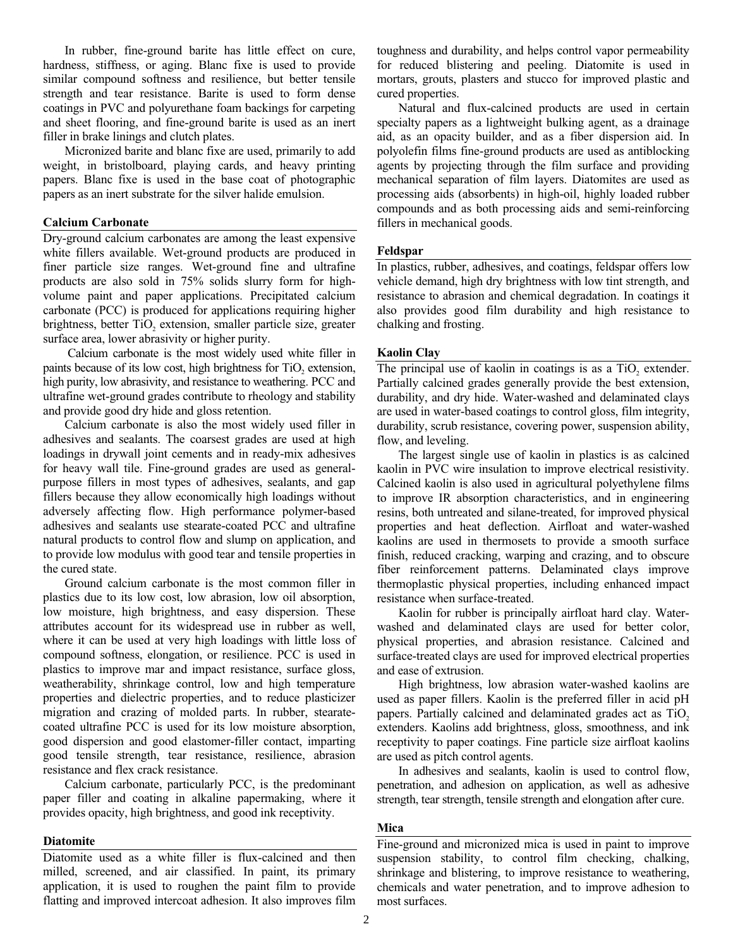In rubber, fine-ground barite has little effect on cure, hardness, stiffness, or aging. Blanc fixe is used to provide similar compound softness and resilience, but better tensile strength and tear resistance. Barite is used to form dense coatings in PVC and polyurethane foam backings for carpeting and sheet flooring, and fine-ground barite is used as an inert filler in brake linings and clutch plates.

 Micronized barite and blanc fixe are used, primarily to add weight, in bristolboard, playing cards, and heavy printing papers. Blanc fixe is used in the base coat of photographic papers as an inert substrate for the silver halide emulsion.

#### **Calcium Carbonate**

Dry-ground calcium carbonates are among the least expensive white fillers available. Wet-ground products are produced in finer particle size ranges. Wet-ground fine and ultrafine products are also sold in 75% solids slurry form for highvolume paint and paper applications. Precipitated calcium carbonate (PCC) is produced for applications requiring higher brightness, better TiO<sub>2</sub> extension, smaller particle size, greater surface area, lower abrasivity or higher purity.

 Calcium carbonate is the most widely used white filler in paints because of its low cost, high brightness for  $TiO<sub>2</sub>$  extension, high purity, low abrasivity, and resistance to weathering. PCC and ultrafine wet-ground grades contribute to rheology and stability and provide good dry hide and gloss retention.

 Calcium carbonate is also the most widely used filler in adhesives and sealants. The coarsest grades are used at high loadings in drywall joint cements and in ready-mix adhesives for heavy wall tile. Fine-ground grades are used as generalpurpose fillers in most types of adhesives, sealants, and gap fillers because they allow economically high loadings without adversely affecting flow. High performance polymer-based adhesives and sealants use stearate-coated PCC and ultrafine natural products to control flow and slump on application, and to provide low modulus with good tear and tensile properties in the cured state.

 Ground calcium carbonate is the most common filler in plastics due to its low cost, low abrasion, low oil absorption, low moisture, high brightness, and easy dispersion. These attributes account for its widespread use in rubber as well, where it can be used at very high loadings with little loss of compound softness, elongation, or resilience. PCC is used in plastics to improve mar and impact resistance, surface gloss, weatherability, shrinkage control, low and high temperature properties and dielectric properties, and to reduce plasticizer migration and crazing of molded parts. In rubber, stearatecoated ultrafine PCC is used for its low moisture absorption, good dispersion and good elastomer-filler contact, imparting good tensile strength, tear resistance, resilience, abrasion resistance and flex crack resistance.

 Calcium carbonate, particularly PCC, is the predominant paper filler and coating in alkaline papermaking, where it provides opacity, high brightness, and good ink receptivity.

#### **Diatomite**

Diatomite used as a white filler is flux-calcined and then milled, screened, and air classified. In paint, its primary application, it is used to roughen the paint film to provide flatting and improved intercoat adhesion. It also improves film

toughness and durability, and helps control vapor permeability for reduced blistering and peeling. Diatomite is used in mortars, grouts, plasters and stucco for improved plastic and cured properties.

 Natural and flux-calcined products are used in certain specialty papers as a lightweight bulking agent, as a drainage aid, as an opacity builder, and as a fiber dispersion aid. In polyolefin films fine-ground products are used as antiblocking agents by projecting through the film surface and providing mechanical separation of film layers. Diatomites are used as processing aids (absorbents) in high-oil, highly loaded rubber compounds and as both processing aids and semi-reinforcing fillers in mechanical goods.

#### **Feldspar**

In plastics, rubber, adhesives, and coatings, feldspar offers low vehicle demand, high dry brightness with low tint strength, and resistance to abrasion and chemical degradation. In coatings it also provides good film durability and high resistance to chalking and frosting.

#### **Kaolin Clay**

The principal use of kaolin in coatings is as a TiO<sub>2</sub> extender. Partially calcined grades generally provide the best extension, durability, and dry hide. Water-washed and delaminated clays are used in water-based coatings to control gloss, film integrity, durability, scrub resistance, covering power, suspension ability, flow, and leveling.

 The largest single use of kaolin in plastics is as calcined kaolin in PVC wire insulation to improve electrical resistivity. Calcined kaolin is also used in agricultural polyethylene films to improve IR absorption characteristics, and in engineering resins, both untreated and silane-treated, for improved physical properties and heat deflection. Airfloat and water-washed kaolins are used in thermosets to provide a smooth surface finish, reduced cracking, warping and crazing, and to obscure fiber reinforcement patterns. Delaminated clays improve thermoplastic physical properties, including enhanced impact resistance when surface-treated.

 Kaolin for rubber is principally airfloat hard clay. Waterwashed and delaminated clays are used for better color, physical properties, and abrasion resistance. Calcined and surface-treated clays are used for improved electrical properties and ease of extrusion.

High brightness, low abrasion water-washed kaolins are used as paper fillers. Kaolin is the preferred filler in acid pH papers. Partially calcined and delaminated grades act as TiO<sub>2</sub> extenders. Kaolins add brightness, gloss, smoothness, and ink receptivity to paper coatings. Fine particle size airfloat kaolins are used as pitch control agents.

 In adhesives and sealants, kaolin is used to control flow, penetration, and adhesion on application, as well as adhesive strength, tear strength, tensile strength and elongation after cure.

#### **Mica**

Fine-ground and micronized mica is used in paint to improve suspension stability, to control film checking, chalking, shrinkage and blistering, to improve resistance to weathering, chemicals and water penetration, and to improve adhesion to most surfaces.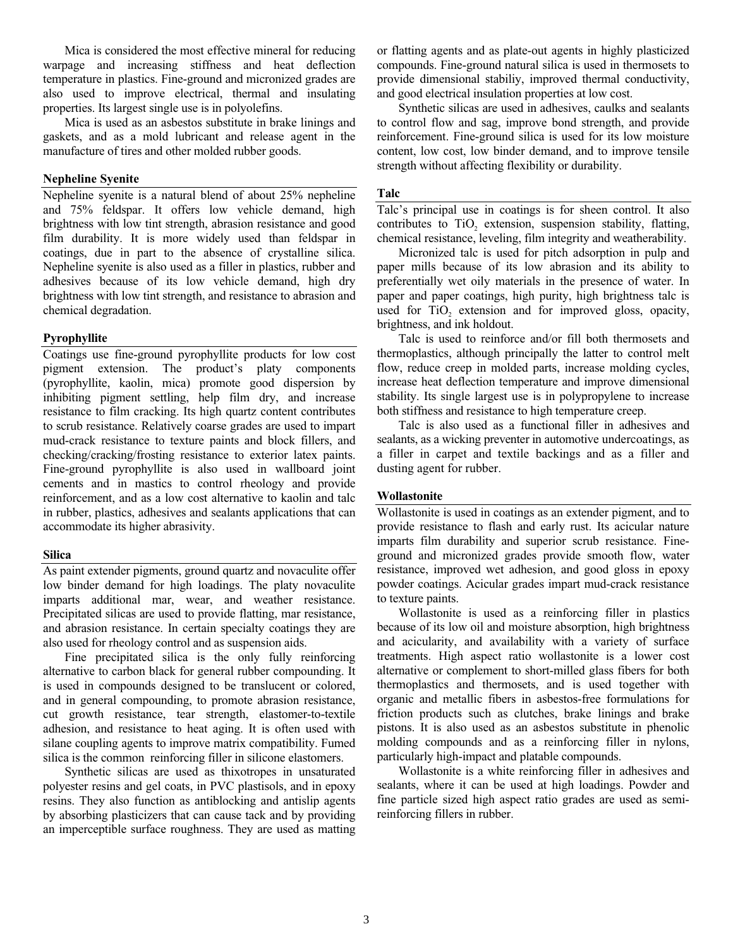Mica is considered the most effective mineral for reducing warpage and increasing stiffness and heat deflection temperature in plastics. Fine-ground and micronized grades are also used to improve electrical, thermal and insulating properties. Its largest single use is in polyolefins.

 Mica is used as an asbestos substitute in brake linings and gaskets, and as a mold lubricant and release agent in the manufacture of tires and other molded rubber goods.

#### **Nepheline Syenite**

Nepheline syenite is a natural blend of about 25% nepheline and 75% feldspar. It offers low vehicle demand, high brightness with low tint strength, abrasion resistance and good film durability. It is more widely used than feldspar in coatings, due in part to the absence of crystalline silica. Nepheline syenite is also used as a filler in plastics, rubber and adhesives because of its low vehicle demand, high dry brightness with low tint strength, and resistance to abrasion and chemical degradation.

#### **Pyrophyllite**

Coatings use fine-ground pyrophyllite products for low cost pigment extension. The product's platy components (pyrophyllite, kaolin, mica) promote good dispersion by inhibiting pigment settling, help film dry, and increase resistance to film cracking. Its high quartz content contributes to scrub resistance. Relatively coarse grades are used to impart mud-crack resistance to texture paints and block fillers, and checking/cracking/frosting resistance to exterior latex paints. Fine-ground pyrophyllite is also used in wallboard joint cements and in mastics to control rheology and provide reinforcement, and as a low cost alternative to kaolin and talc in rubber, plastics, adhesives and sealants applications that can accommodate its higher abrasivity.

#### **Silica**

As paint extender pigments, ground quartz and novaculite offer low binder demand for high loadings. The platy novaculite imparts additional mar, wear, and weather resistance. Precipitated silicas are used to provide flatting, mar resistance, and abrasion resistance. In certain specialty coatings they are also used for rheology control and as suspension aids.

 Fine precipitated silica is the only fully reinforcing alternative to carbon black for general rubber compounding. It is used in compounds designed to be translucent or colored, and in general compounding, to promote abrasion resistance, cut growth resistance, tear strength, elastomer-to-textile adhesion, and resistance to heat aging. It is often used with silane coupling agents to improve matrix compatibility. Fumed silica is the common reinforcing filler in silicone elastomers.

 Synthetic silicas are used as thixotropes in unsaturated polyester resins and gel coats, in PVC plastisols, and in epoxy resins. They also function as antiblocking and antislip agents by absorbing plasticizers that can cause tack and by providing an imperceptible surface roughness. They are used as matting

or flatting agents and as plate-out agents in highly plasticized compounds. Fine-ground natural silica is used in thermosets to provide dimensional stabiliy, improved thermal conductivity, and good electrical insulation properties at low cost.

 Synthetic silicas are used in adhesives, caulks and sealants to control flow and sag, improve bond strength, and provide reinforcement. Fine-ground silica is used for its low moisture content, low cost, low binder demand, and to improve tensile strength without affecting flexibility or durability.

#### **Talc**

Talc's principal use in coatings is for sheen control. It also contributes to TiO<sub>2</sub> extension, suspension stability, flatting, chemical resistance, leveling, film integrity and weatherability.

 Micronized talc is used for pitch adsorption in pulp and paper mills because of its low abrasion and its ability to preferentially wet oily materials in the presence of water. In paper and paper coatings, high purity, high brightness talc is used for TiO<sub>2</sub> extension and for improved gloss, opacity, brightness, and ink holdout.

 Talc is used to reinforce and/or fill both thermosets and thermoplastics, although principally the latter to control melt flow, reduce creep in molded parts, increase molding cycles, increase heat deflection temperature and improve dimensional stability. Its single largest use is in polypropylene to increase both stiffness and resistance to high temperature creep.

 Talc is also used as a functional filler in adhesives and sealants, as a wicking preventer in automotive undercoatings, as a filler in carpet and textile backings and as a filler and dusting agent for rubber.

#### **Wollastonite**

Wollastonite is used in coatings as an extender pigment, and to provide resistance to flash and early rust. Its acicular nature imparts film durability and superior scrub resistance. Fineground and micronized grades provide smooth flow, water resistance, improved wet adhesion, and good gloss in epoxy powder coatings. Acicular grades impart mud-crack resistance to texture paints.

 Wollastonite is used as a reinforcing filler in plastics because of its low oil and moisture absorption, high brightness and acicularity, and availability with a variety of surface treatments. High aspect ratio wollastonite is a lower cost alternative or complement to short-milled glass fibers for both thermoplastics and thermosets, and is used together with organic and metallic fibers in asbestos-free formulations for friction products such as clutches, brake linings and brake pistons. It is also used as an asbestos substitute in phenolic molding compounds and as a reinforcing filler in nylons, particularly high-impact and platable compounds.

 Wollastonite is a white reinforcing filler in adhesives and sealants, where it can be used at high loadings. Powder and fine particle sized high aspect ratio grades are used as semireinforcing fillers in rubber.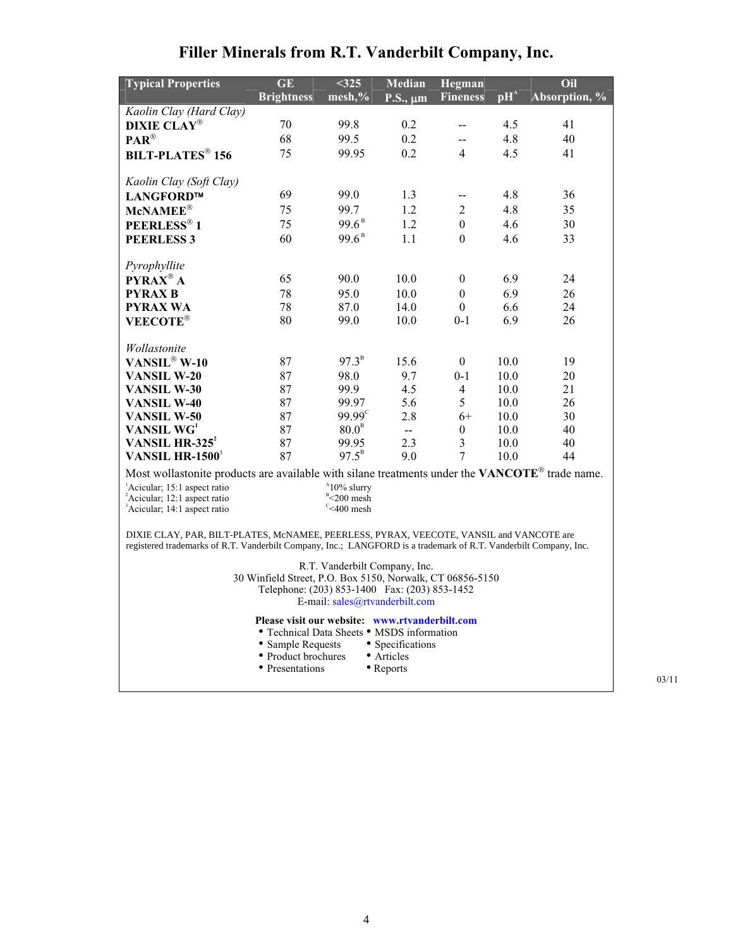| <b>Typical Properties</b>                                                                                                                                                                                   | GE<br><b>Brightness</b> | < 325<br>mesh,%                                          | <b>Median</b><br>$P.S., \mu m$ | Hegman<br><b>Fineness</b> | $\mathbf{p}$ H <sup>A</sup> | Oil<br>Absorption, % |  |  |
|-------------------------------------------------------------------------------------------------------------------------------------------------------------------------------------------------------------|-------------------------|----------------------------------------------------------|--------------------------------|---------------------------|-----------------------------|----------------------|--|--|
| Kaolin Clay (Hard Clay)                                                                                                                                                                                     |                         |                                                          |                                |                           |                             |                      |  |  |
| <b>DIXIE CLAY®</b>                                                                                                                                                                                          | 70                      | 99.8                                                     | 0.2                            | $\overline{\phantom{a}}$  | 4.5                         | 41                   |  |  |
| $\mathbf{PAR}^{\circledR}$                                                                                                                                                                                  | 68                      | 99.5                                                     | 0.2                            | 44                        | 4.8                         | 40                   |  |  |
| <b>BILT-PLATES<sup>®</sup> 156</b>                                                                                                                                                                          | 75                      | 99.95                                                    | 0.2                            | $\overline{4}$            | 4.5                         | 41                   |  |  |
| Kaolin Clay (Soft Clay)                                                                                                                                                                                     |                         |                                                          |                                |                           |                             |                      |  |  |
| LANGFORD™                                                                                                                                                                                                   | 69                      | 99.0                                                     | 1.3                            | $\overline{\phantom{a}}$  | 4.8                         | 36                   |  |  |
| McNAMEE®                                                                                                                                                                                                    | 75                      | 99.7                                                     | 1.2                            | $\overline{2}$            | 4.8                         | 35                   |  |  |
| PEERLESS® 1                                                                                                                                                                                                 | 75                      | $99.6^{\text{B}}$                                        | 1.2                            | $\boldsymbol{0}$          | 4.6                         | 30                   |  |  |
| <b>PEERLESS 3</b>                                                                                                                                                                                           | 60                      | $99.6^{\text{B}}$                                        | 1.1                            | $\Omega$                  | 4.6                         | 33                   |  |  |
| Pyrophyllite                                                                                                                                                                                                |                         |                                                          |                                |                           |                             |                      |  |  |
| PYRAX <sup>®</sup> A                                                                                                                                                                                        | 65                      | 90.0                                                     | 10.0                           | $\boldsymbol{0}$          | 6.9                         | 24                   |  |  |
| <b>PYRAX B</b>                                                                                                                                                                                              | 78                      | 95.0                                                     | 10.0                           | $\mathbf{0}$              | 6.9                         | 26                   |  |  |
| <b>PYRAX WA</b>                                                                                                                                                                                             | 78                      | 87.0                                                     | 14.0                           | $\theta$                  | 6.6                         | 24                   |  |  |
| <b>VEECOTE®</b>                                                                                                                                                                                             | 80                      | 99.0                                                     | 10.0                           | $0 - 1$                   | 6.9                         | 26                   |  |  |
| Wollastonite                                                                                                                                                                                                |                         |                                                          |                                |                           |                             |                      |  |  |
| VANSIL <sup>®</sup> W-10                                                                                                                                                                                    | 87                      | $97.3^{\text{B}}$                                        | 15.6                           | $\overline{0}$            | 10.0                        | 19                   |  |  |
| <b>VANSIL W-20</b>                                                                                                                                                                                          | 87                      | 98.0                                                     | 9.7                            | $0 - 1$                   | 10.0                        | 20                   |  |  |
| <b>VANSIL W-30</b>                                                                                                                                                                                          | 87                      | 99.9                                                     | 4.5                            | 4                         | 10.0                        | 21                   |  |  |
| <b>VANSIL W-40</b>                                                                                                                                                                                          | 87                      | 99.97                                                    | 5.6                            | 5                         | 10.0                        | 26                   |  |  |
| VANSIL W-50                                                                                                                                                                                                 | 87                      | $99.99^{\circ}$                                          | 2.8                            | $6+$                      | 10.0                        | 30                   |  |  |
| VANSIL WG <sup>1</sup>                                                                                                                                                                                      | 87                      | $80.0^{\text{B}}$                                        | $\mathbf{L}(\mathbf{r})$       | $\boldsymbol{0}$          | 10.0                        | 40                   |  |  |
| VANSIL HR-325 <sup>2</sup>                                                                                                                                                                                  | 87                      | 99.95                                                    | 2.3                            | $\overline{\mathbf{3}}$   | 10.0                        | 40                   |  |  |
| VANSIL HR- $1500^3$                                                                                                                                                                                         | 87                      | $97.5^{\rm B}$                                           | 9.0                            | $\overline{7}$            | 10.0                        | 44                   |  |  |
| Most wollastonite products are available with silane treatments under the VANCOTE® trade name.                                                                                                              |                         |                                                          |                                |                           |                             |                      |  |  |
| <sup>1</sup> Acicular; 15:1 aspect ratio<br><sup>2</sup> Acicular; 12:1 aspect ratio<br><sup>3</sup> Acicular; 14:1 aspect ratio                                                                            |                         | $^410\%$ slurry<br>$B = 200$ mesh<br>$\degree$ <400 mesh |                                |                           |                             |                      |  |  |
| DIXIE CLAY, PAR, BILT-PLATES, McNAMEE, PEERLESS, PYRAX, VEECOTE, VANSIL and VANCOTE are<br>registered trademarks of R.T. Vanderbilt Company, Inc.; LANGFORD is a trademark of R.T. Vanderbilt Company, Inc. |                         |                                                          |                                |                           |                             |                      |  |  |
| R.T. Vanderbilt Company, Inc.<br>30 Winfield Street, P.O. Box 5150, Norwalk, CT 06856-5150<br>Telephone: (203) 853-1400 Fax: (203) 853-1452<br>E-mail: sales@rtvanderbilt.com                               |                         |                                                          |                                |                           |                             |                      |  |  |
| Please visit our website: www.rtvanderbilt.com<br>• Technical Data Sheets • MSDS information<br>• Sample Requests<br>• Specifications<br>• Product brochures<br>• Articles<br>• Presentations<br>• Reports  |                         |                                                          |                                |                           |                             |                      |  |  |

# **Filler Minerals from R.T. Vanderbilt Company, Inc.**

03/11